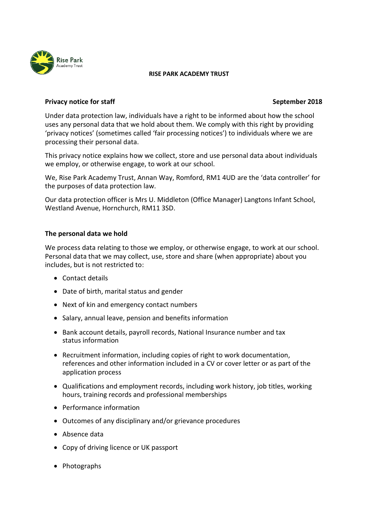

#### **RISE PARK ACADEMY TRUST**

# **Privacy notice for staff September 2018**

Under data protection law, individuals have a right to be informed about how the school uses any personal data that we hold about them. We comply with this right by providing 'privacy notices' (sometimes called 'fair processing notices') to individuals where we are processing their personal data.

This privacy notice explains how we collect, store and use personal data about individuals we employ, or otherwise engage, to work at our school.

We, Rise Park Academy Trust, Annan Way, Romford, RM1 4UD are the 'data controller' for the purposes of data protection law.

Our data protection officer is Mrs U. Middleton (Office Manager) Langtons Infant School, Westland Avenue, Hornchurch, RM11 3SD.

# **The personal data we hold**

We process data relating to those we employ, or otherwise engage, to work at our school. Personal data that we may collect, use, store and share (when appropriate) about you includes, but is not restricted to:

- Contact details
- Date of birth, marital status and gender
- Next of kin and emergency contact numbers
- Salary, annual leave, pension and benefits information
- Bank account details, payroll records, National Insurance number and tax status information
- Recruitment information, including copies of right to work documentation, references and other information included in a CV or cover letter or as part of the application process
- Qualifications and employment records, including work history, job titles, working hours, training records and professional memberships
- Performance information
- Outcomes of any disciplinary and/or grievance procedures
- Absence data
- Copy of driving licence or UK passport
- Photographs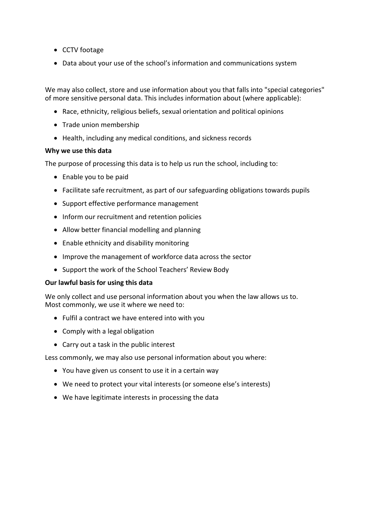- CCTV footage
- Data about your use of the school's information and communications system

We may also collect, store and use information about you that falls into "special categories" of more sensitive personal data. This includes information about (where applicable):

- Race, ethnicity, religious beliefs, sexual orientation and political opinions
- Trade union membership
- Health, including any medical conditions, and sickness records

# **Why we use this data**

The purpose of processing this data is to help us run the school, including to:

- Enable you to be paid
- Facilitate safe recruitment, as part of our safeguarding obligations towards pupils
- Support effective performance management
- Inform our recruitment and retention policies
- Allow better financial modelling and planning
- Enable ethnicity and disability monitoring
- Improve the management of workforce data across the sector
- Support the work of the School Teachers' Review Body

# **Our lawful basis for using this data**

We only collect and use personal information about you when the law allows us to. Most commonly, we use it where we need to:

- Fulfil a contract we have entered into with you
- Comply with a legal obligation
- Carry out a task in the public interest

Less commonly, we may also use personal information about you where:

- You have given us consent to use it in a certain way
- We need to protect your vital interests (or someone else's interests)
- We have legitimate interests in processing the data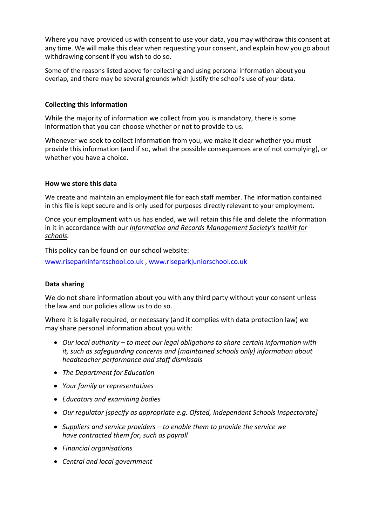Where you have provided us with consent to use your data, you may withdraw this consent at any time. We will make this clear when requesting your consent, and explain how you go about withdrawing consent if you wish to do so.

Some of the reasons listed above for collecting and using personal information about you overlap, and there may be several grounds which justify the school's use of your data.

# **Collecting this information**

While the majority of information we collect from you is mandatory, there is some information that you can choose whether or not to provide to us.

Whenever we seek to collect information from you, we make it clear whether you must provide this information (and if so, what the possible consequences are of not complying), or whether you have a choice.

#### **How we store this data**

We create and maintain an employment file for each staff member. The information contained in this file is kept secure and is only used for purposes directly relevant to your employment.

Once your employment with us has ended, we will retain this file and delete the information in it in accordance with our *Information and Records Management Society's toolkit for schools.*

This policy can be found on our school website:

[www.riseparkinfantschool.co.uk](http://www.riseparkinfantschool.co.uk/) , [www.riseparkjuniorschool.co.uk](http://www.riseparkjuniorschool.co.uk/)

# **Data sharing**

We do not share information about you with any third party without your consent unless the law and our policies allow us to do so.

Where it is legally required, or necessary (and it complies with data protection law) we may share personal information about you with:

- *Our local authority – to meet our legal obligations to share certain information with it, such as safeguarding concerns and [maintained schools only] information about headteacher performance and staff dismissals*
- *The Department for Education*
- *Your family or representatives*
- *Educators and examining bodies*
- *Our regulator [specify as appropriate e.g. Ofsted, Independent Schools Inspectorate]*
- *Suppliers and service providers – to enable them to provide the service we have contracted them for, such as payroll*
- *Financial organisations*
- *Central and local government*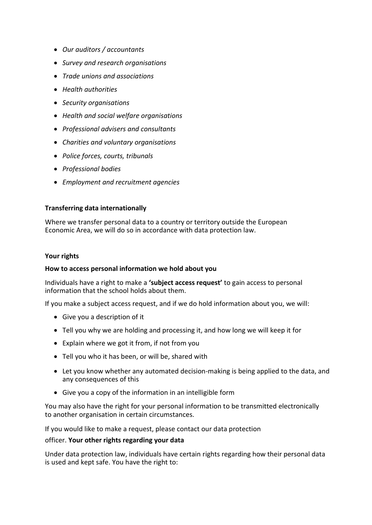- *Our auditors / accountants*
- *Survey and research organisations*
- *Trade unions and associations*
- *Health authorities*
- *Security organisations*
- *Health and social welfare organisations*
- *Professional advisers and consultants*
- *Charities and voluntary organisations*
- *Police forces, courts, tribunals*
- *Professional bodies*
- *Employment and recruitment agencies*

# **Transferring data internationally**

Where we transfer personal data to a country or territory outside the European Economic Area, we will do so in accordance with data protection law.

#### **Your rights**

# **How to access personal information we hold about you**

Individuals have a right to make a **'subject access request'** to gain access to personal information that the school holds about them.

If you make a subject access request, and if we do hold information about you, we will:

- Give you a description of it
- Tell you why we are holding and processing it, and how long we will keep it for
- Explain where we got it from, if not from you
- Tell you who it has been, or will be, shared with
- Let you know whether any automated decision-making is being applied to the data, and any consequences of this
- Give you a copy of the information in an intelligible form

You may also have the right for your personal information to be transmitted electronically to another organisation in certain circumstances.

If you would like to make a request, please contact our data protection

# officer. **Your other rights regarding your data**

Under data protection law, individuals have certain rights regarding how their personal data is used and kept safe. You have the right to: